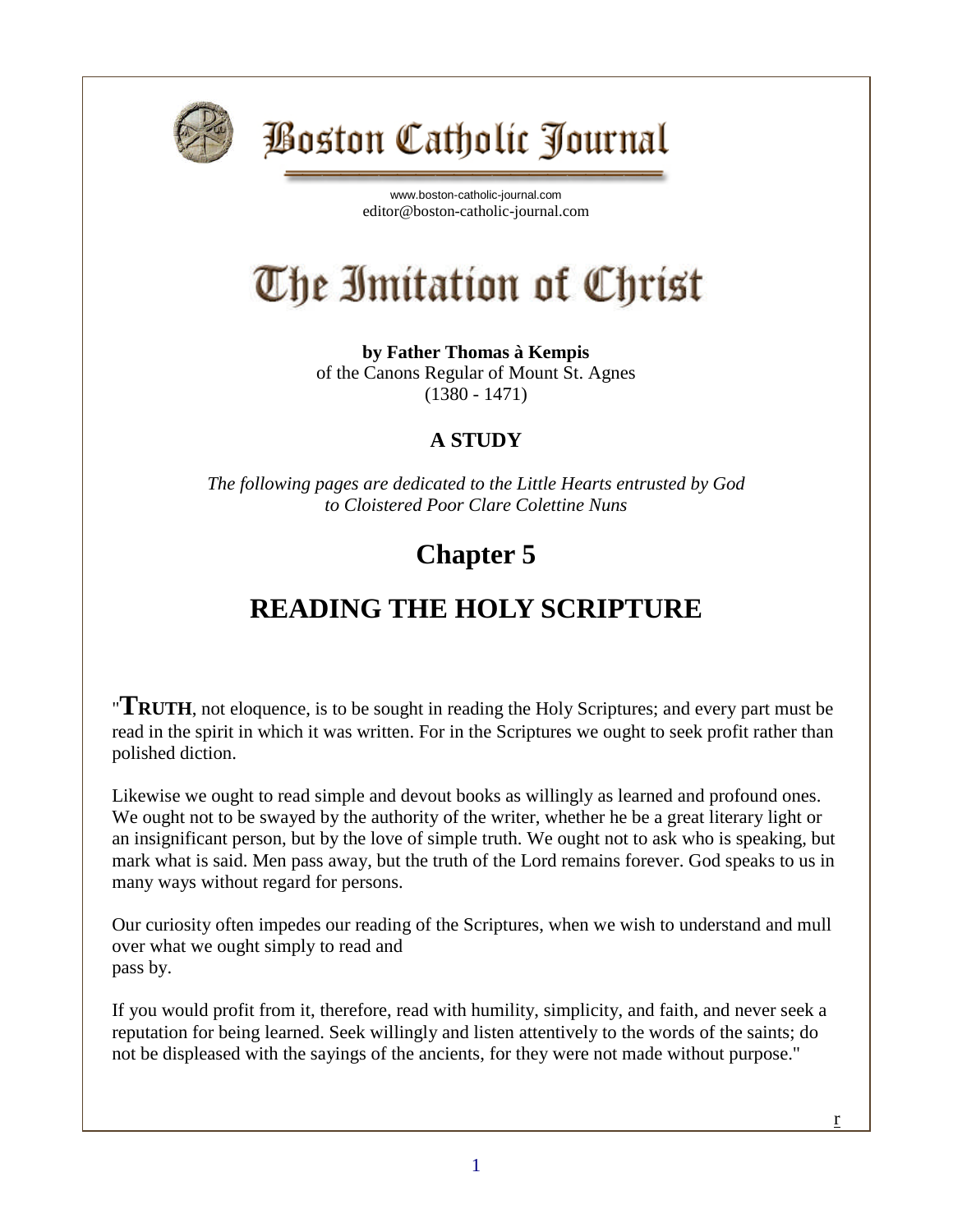

## **Boston Catholic Journal**

[www.boston-catholic-journal.com](http://www.boston-catholic-journal.com/) editor@boston-catholic-journal.com

# The Imitation of Christ

**by Father Thomas à Kempis** of the Canons Regular of Mount St. Agnes (1380 - 1471)

#### **A STUDY**

*The following pages are dedicated to the Little Hearts entrusted by God to Cloistered Poor Clare Colettine Nuns*

#### **Chapter 5**

### **READING THE HOLY SCRIPTURE**

"**TRUTH**, not eloquence, is to be sought in reading the Holy Scriptures; and every part must be read in the spirit in which it was written. For in the Scriptures we ought to seek profit rather than polished diction.

Likewise we ought to read simple and devout books as willingly as learned and profound ones. We ought not to be swayed by the authority of the writer, whether he be a great literary light or an insignificant person, but by the love of simple truth. We ought not to ask who is speaking, but mark what is said. Men pass away, but the truth of the Lord remains forever. God speaks to us in many ways without regard for persons.

Our curiosity often impedes our reading of the Scriptures, when we wish to understand and mull over what we ought simply to read and pass by.

If you would profit from it, therefore, read with humility, simplicity, and faith, and never seek a reputation for being learned. Seek willingly and listen attentively to the words of the saints; do not be displeased with the sayings of the ancients, for they were not made without purpose."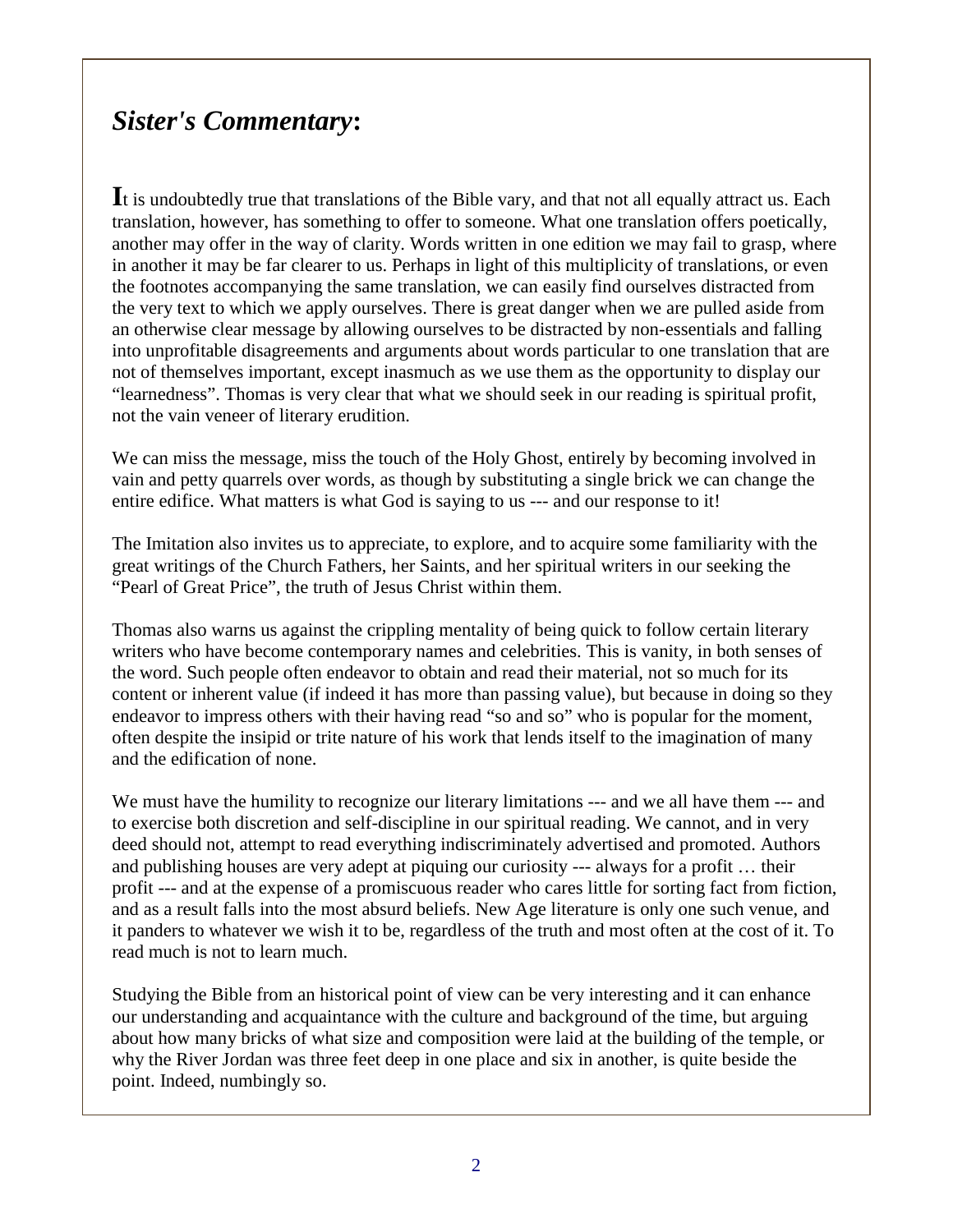#### *Sister's Commentary***:**

**I**t is undoubtedly true that translations of the Bible vary, and that not all equally attract us. Each translation, however, has something to offer to someone. What one translation offers poetically, another may offer in the way of clarity. Words written in one edition we may fail to grasp, where in another it may be far clearer to us. Perhaps in light of this multiplicity of translations, or even the footnotes accompanying the same translation, we can easily find ourselves distracted from the very text to which we apply ourselves. There is great danger when we are pulled aside from an otherwise clear message by allowing ourselves to be distracted by non-essentials and falling into unprofitable disagreements and arguments about words particular to one translation that are not of themselves important, except inasmuch as we use them as the opportunity to display our "learnedness". Thomas is very clear that what we should seek in our reading is spiritual profit, not the vain veneer of literary erudition.

We can miss the message, miss the touch of the Holy Ghost, entirely by becoming involved in vain and petty quarrels over words, as though by substituting a single brick we can change the entire edifice. What matters is what God is saying to us --- and our response to it!

The Imitation also invites us to appreciate, to explore, and to acquire some familiarity with the great writings of the Church Fathers, her Saints, and her spiritual writers in our seeking the "Pearl of Great Price", the truth of Jesus Christ within them.

Thomas also warns us against the crippling mentality of being quick to follow certain literary writers who have become contemporary names and celebrities. This is vanity, in both senses of the word. Such people often endeavor to obtain and read their material, not so much for its content or inherent value (if indeed it has more than passing value), but because in doing so they endeavor to impress others with their having read "so and so" who is popular for the moment, often despite the insipid or trite nature of his work that lends itself to the imagination of many and the edification of none.

We must have the humility to recognize our literary limitations  $---$  and we all have them  $---$  and to exercise both discretion and self-discipline in our spiritual reading. We cannot, and in very deed should not, attempt to read everything indiscriminately advertised and promoted. Authors and publishing houses are very adept at piquing our curiosity --- always for a profit … their profit --- and at the expense of a promiscuous reader who cares little for sorting fact from fiction, and as a result falls into the most absurd beliefs. New Age literature is only one such venue, and it panders to whatever we wish it to be, regardless of the truth and most often at the cost of it. To read much is not to learn much.

Studying the Bible from an historical point of view can be very interesting and it can enhance our understanding and acquaintance with the culture and background of the time, but arguing about how many bricks of what size and composition were laid at the building of the temple, or why the River Jordan was three feet deep in one place and six in another, is quite beside the point. Indeed, numbingly so.